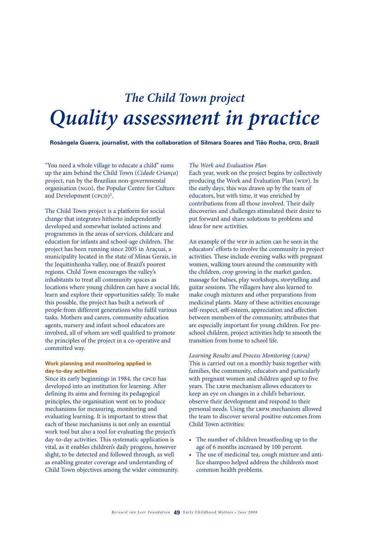## *The Child Town project Quality assessment in practice*

**Rosângela Guerra, journalist, with the collaboration of Silmara Soares and Tião Rocha, CPCD, Brazil** 

"You need a whole village to educate a child" sums up the aim behind the Child Town (*Cidade Criança*) project, run by the Brazilian non-governmental organisation (ngo), the Popular Centre for Culture and Development  $(cpcD)^1$ .

The Child Town project is a platform for social change that integrates hitherto independently developed and somewhat isolated actions and programmes in the areas of services, childcare and education for infants and school-age children. The project has been running since 2005 in Araçuaí, a municipality located in the state of Minas Gerais, in the Jequitinhonha valley, one of Brazil's poorest regions. Child Town encourages the valley's inhabitants to treat all community spaces as locations where young children can have a social life, learn and explore their opportunities safely. To make this possible, the project has built a network of people from different generations who fulfil various tasks. Mothers and carers, community education agents, nursery and infant school educators are involved, all of whom are well qualified to promote the principles of the project in a co-operative and committed way.

## **Work planning and monitoring applied in day-to-day activities**

Since its early beginnings in 1984, the CPCD has developed into an institution for learning. After defining its aims and forming its pedagogical principles, the organisation went on to produce mechanisms for measuring, monitoring and evaluating learning. It is important to stress that each of these mechanisms is not only an essential work tool but also a tool for evaluating the project's day-to-day activities. This systematic application is vital, as it enables children's daily progress, however slight, to be detected and followed through, as well as enabling greater coverage and understanding of Child Town objectives among the wider community.

#### *The Work and Evaluation Plan*

Each year, work on the project begins by collectively producing the Work and Evaluation Plan (wep). In the early days, this was drawn up by the team of educators, but with time, it was enriched by contributions from all those involved. Their daily discoveries and challenges stimulated their desire to put forward and share solutions to problems and ideas for new activities.

An example of the wep in action can be seen in the educators' efforts to involve the community in project activities. These include evening walks with pregnant women, walking tours around the community with the children, crop growing in the market garden, massage for babies, play workshops, storytelling and guitar sessions. The villagers have also learned to make cough mixtures and other preparations from medicinal plants. Many of these activities encourage self-respect, self-esteem, appreciation and affection between members of the community, attributes that are especially important for young children. For preschool children, project activities help to smooth the transition from home to school life.

Learning Results and Process Monitoring (LRPM) This is carried out on a monthly basis together with families, the community, educators and particularly with pregnant women and children aged up to five years. The lrpm mechanism allows educators to keep an eye on changes in a child's behaviour, observe their development and respond to their personal needs. Using the lrpm mechanism allowed the team to discover several positive outcomes from Child Town activities:

- The number of children breastfeeding up to the age of 6 months increased by 100 percent.
- The use of medicinal tea, cough mixture and antilice shampoo helped address the children's most common health problems.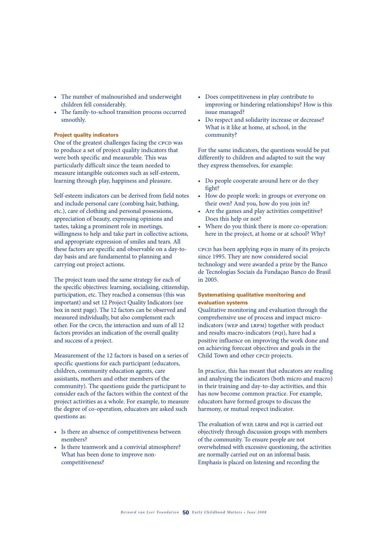- • The number of malnourished and underweight children fell considerably.
- The family-to-school transition process occurred smoothly.

## **Project quality indicators**

One of the greatest challenges facing the CPCD was to produce a set of project quality indicators that were both specific and measurable. This was particularly difficult since the team needed to measure intangible outcomes such as self-esteem, learning through play, happiness and pleasure.

Self-esteem indicators can be derived from field notes and include personal care (combing hair, bathing, etc.), care of clothing and personal possessions, appreciation of beauty, expressing opinions and tastes, taking a prominent role in meetings, willingness to help and take part in collective actions, and appropriate expression of smiles and tears. All these factors are specific and observable on a day-today basis and are fundamental to planning and carrying out project actions.

The project team used the same strategy for each of the specific objectives: learning, socialising, citizenship, participation, etc. They reached a consensus (this was important) and set 12 Project Quality Indicators (see box in next page). The 12 factors can be observed and measured individually, but also complement each other. For the  $cpc$ , the interaction and sum of all 12 factors provides an indication of the overall quality and success of a project.

Measurement of the 12 factors is based on a series of specific questions for each participant (educators, children, community education agents, care assistants, mothers and other members of the community). The questions guide the participant to consider each of the factors within the context of the project activities as a whole. For example, to measure the degree of co-operation, educators are asked such questions as:

- Is there an absence of competitiveness between members?
- Is there teamwork and a convivial atmosphere? What has been done to improve noncompetitiveness?
- • Does competitiveness in play contribute to improving or hindering relationships? How is this issue managed?
- Do respect and solidarity increase or decrease? What is it like at home, at school, in the community?

For the same indicators, the questions would be put differently to children and adapted to suit the way they express themselves, for example:

- Do people cooperate around here or do they fight?
- How do people work: in groups or everyone on their own? And you, how do you join in?
- Are the games and play activities competitive? Does this help or not?
- Where do you think there is more co-operation: here in the project, at home or at school? Why?

cpcp has been applying pqis in many of its projects since 1995. They are now considered social technology and were awarded a prize by the Banco de Tecnologias Sociais da Fundaçao Banco do Brasil in 2005.

## **Systematising qualitative monitoring and evaluation systems**

Qualitative monitoring and evaluation through the comprehensive use of process and impact microindicators (wep and lrpm) together with product and results macro-indicators (PQI), have had a positive influence on improving the work done and on achieving forecast objectives and goals in the Child Town and other CPCD projects.

In practice, this has meant that educators are reading and analysing the indicators (both micro and macro) in their training and day-to-day activities, and this has now become common practice. For example, educators have formed groups to discuss the harmony, or mutual respect indicator.

The evaluation of WEP, LRPM and PQI is carried out objectively through discussion groups with members of the community. To ensure people are not overwhelmed with excessive questioning, the activities are normally carried out on an informal basis. Emphasis is placed on listening and recording the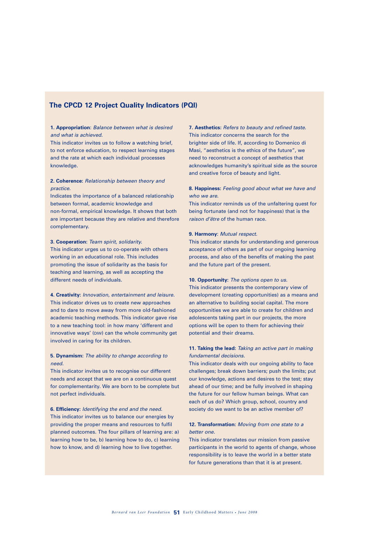## **The CPCD 12 Project Quality Indicators (PQI)**

## **1. Appropriation**: *Balance between what is desired and what is achieved.*

This indicator invites us to follow a watching brief, to not enforce education, to respect learning stages and the rate at which each individual processes knowledge.

## **2. Coherence:** *Relationship between theory and practice.*

Indicates the importance of a balanced relationship between formal, academic knowledge and non-formal, empirical knowledge. It shows that both are important because they are relative and therefore complementary.

#### **3. Cooperation:** *Team spirit, solidarity.*

This indicator urges us to co-operate with others working in an educational role. This includes promoting the issue of solidarity as the basis for teaching and learning, as well as accepting the different needs of individuals.

**4. Creativity:** *Innovation, entertainment and leisure.* This indicator drives us to create new approaches and to dare to move away from more old-fashioned academic teaching methods. This indicator gave rise to a new teaching tool: in how many 'different and innovative ways' (DIW) can the whole community get involved in caring for its children.

## **5. Dynamism:** *The ability to change according to need.*

This indicator invites us to recognise our different needs and accept that we are on a continuous quest for complementarity. We are born to be complete but not perfect individuals.

## **6. Efficiency:** *Identifying the end and the need.* This indicator invites us to balance our energies by providing the proper means and resources to fulfil planned outcomes. The four pillars of learning are: a) learning how to be, b) learning how to do, c) learning how to know, and d) learning how to live together.

**7. Aesthetics:** *Refers to beauty and refined taste.* This indicator concerns the search for the brighter side of life. If, according to Domenico di Masi, "aesthetics is the ethics of the future", we need to reconstruct a concept of aesthetics that acknowledges humanity's spiritual side as the source and creative force of beauty and light.

## **8. Happiness:** *Feeling good about what we have and who we are.*

This indicator reminds us of the unfaltering quest for being fortunate (and not for happiness) that is the *raison d'être* of the human race.

#### **9. Harmony**: *Mutual respect.*

This indicator stands for understanding and generous acceptance of others as part of our ongoing learning process, and also of the benefits of making the past and the future part of the present.

#### **10. Opportunity:** *The options open to us.*

This indicator presents the contemporary view of development (creating opportunities) as a means and an alternative to building social capital. The more opportunities we are able to create for children and adolescents taking part in our projects, the more options will be open to them for achieving their potential and their dreams.

## **11. Taking the lead:** *Taking an active part in making fundamental decisions.*

This indicator deals with our ongoing ability to face challenges; break down barriers; push the limits; put our knowledge, actions and desires to the test; stay ahead of our time; and be fully involved in shaping the future for our fellow human beings. What can each of us do? Which group, school, country and society do we want to be an active member of?

## **12. Transformation:** *Moving from one state to a better one.*

This indicator translates our mission from passive participants in the world to agents of change, whose responsibility is to leave the world in a better state for future generations than that it is at present.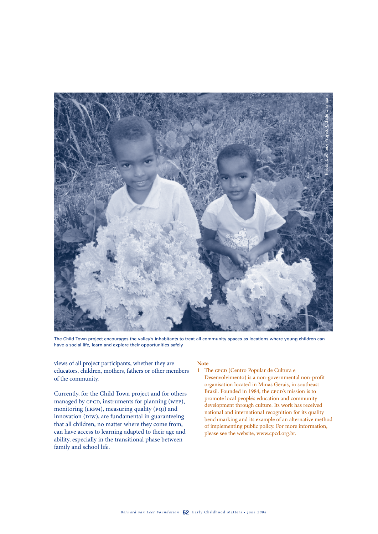

The Child Town project encourages the valley's inhabitants to treat all community spaces as locations where young children can have a social life, learn and explore their opportunities safely

views of all project participants, whether they are educators, children, mothers, fathers or other members of the community.

Currently, for the Child Town project and for others managed by CPCD, instruments for planning (WEP), monitoring (LRPM), measuring quality (PQI) and innovation (DIW), are fundamental in guaranteeing that all children, no matter where they come from, can have access to learning adapted to their age and ability, especially in the transitional phase between family and school life.

#### **Note**

1 The CPCD (Centro Popular de Cultura e Desenvolvimento) is a non-governmental non-profit organisation located in Minas Gerais, in southeast Brazil. Founded in 1984, the CPCD's mission is to promote local people's education and community development through culture. Its work has received national and international recognition for its quality benchmarking and its example of an alternative method of implementing public policy. For more information, please see the website, www.cpcd.org.br.